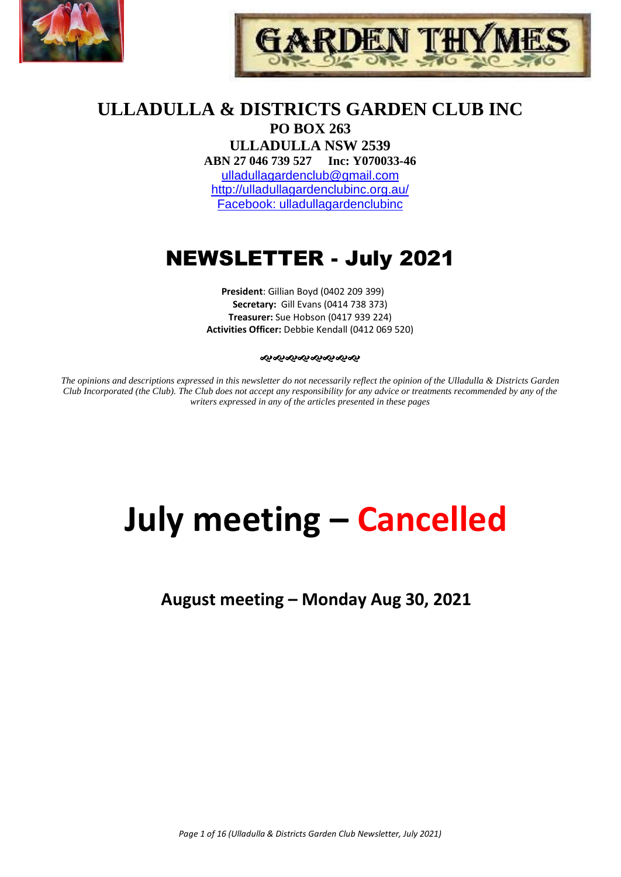



### **ULLADULLA & DISTRICTS GARDEN CLUB INC PO BOX 263**

**ULLADULLA NSW 2539 ABN 27 046 739 527 Inc: Y070033-46**  [ulladullagardenclub@gmail.com](mailto:ulladullagardenclub@gmail.com) <http://ulladullagardenclubinc.org.au/> Facebook: ulladullagardenclubinc

## NEWSLETTER - July 2021

**President**: Gillian Boyd (0402 209 399) **Secretary:** Gill Evans (0414 738 373) **Treasurer:** Sue Hobson (0417 939 224) **Activities Officer:** Debbie Kendall (0412 069 520)

#### જાજાજાજાજાજાજાજ

*The opinions and descriptions expressed in this newsletter do not necessarily reflect the opinion of the Ulladulla & Districts Garden Club Incorporated (the Club). The Club does not accept any responsibility for any advice or treatments recommended by any of the writers expressed in any of the articles presented in these pages*

# **July meeting – Cancelled**

**August meeting – Monday Aug 30, 2021**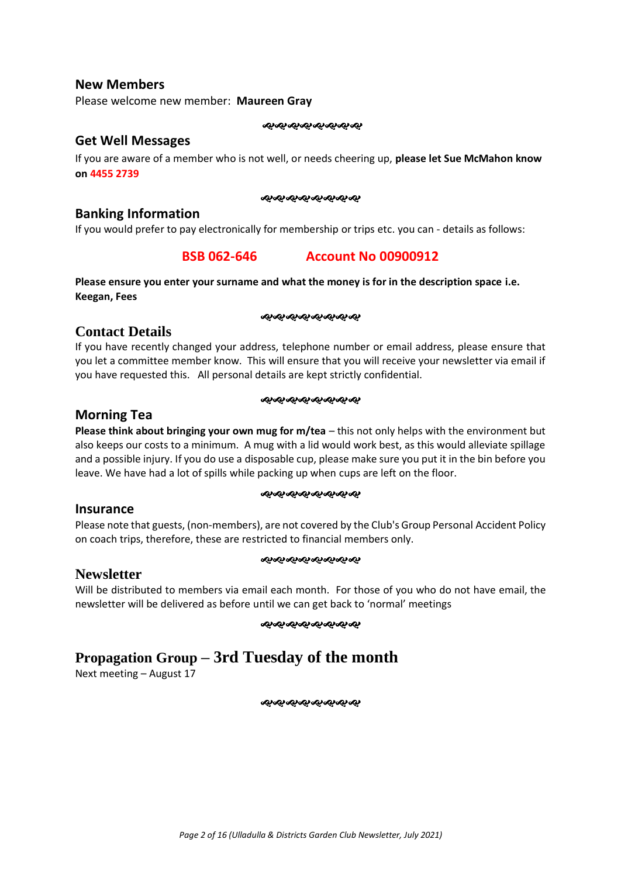#### **New Members**

Please welcome new member: **Maureen Gray**

જાજાજાજાજાજાજાજ

#### **Get Well Messages**

If you are aware of a member who is not well, or needs cheering up, **please let Sue McMahon know on 4455 2739**

#### જાજાજાજાજાજાજાજ

#### **Banking Information**

If you would prefer to pay electronically for membership or trips etc. you can - details as follows:

### **BSB 062-646 Account No 00900912**

#### **Please ensure you enter your surname and what the money is for in the description space i.e. Keegan, Fees**

#### ೲೲೲೲೲೲೲೲ

### **Contact Details**

If you have recently changed your address, telephone number or email address, please ensure that you let a committee member know. This will ensure that you will receive your newsletter via email if you have requested this. All personal details are kept strictly confidential.

#### જાજાજાજાજાજાજાજ

### **Morning Tea**

**Please think about bringing your own mug for m/tea** – this not only helps with the environment but also keeps our costs to a minimum. A mug with a lid would work best, as this would alleviate spillage and a possible injury. If you do use a disposable cup, please make sure you put it in the bin before you leave. We have had a lot of spills while packing up when cups are left on the floor.

#### ઌ૰ઌઌઌઌઌઌઌઌ

#### **Insurance**

**Newsletter**

Please note that guests, (non-members), are not covered by the Club's Group Personal Accident Policy on coach trips, therefore, these are restricted to financial members only.

જાજાજાજાજાજાજાજા

Will be distributed to members via email each month. For those of you who do not have email, the newsletter will be delivered as before until we can get back to 'normal' meetings

#### ઌ૰ૡ૰ૡ૰ૡ૰ૡ૰ૡ૰ૡ

### **Propagation Group – 3rd Tuesday of the month**

Next meeting – August 17

ೲೲೲೲೲೲೲೲ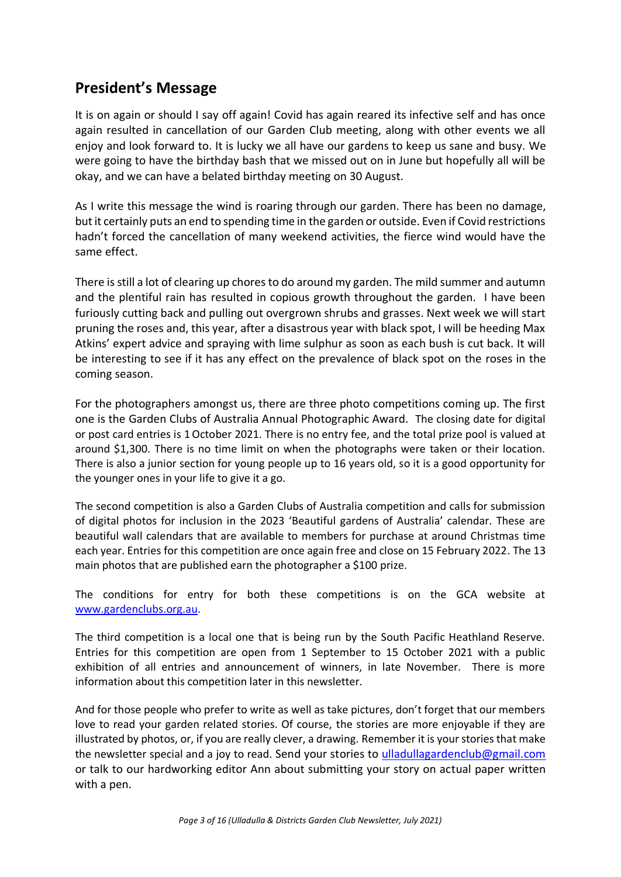### **President's Message**

It is on again or should I say off again! Covid has again reared its infective self and has once again resulted in cancellation of our Garden Club meeting, along with other events we all enjoy and look forward to. It is lucky we all have our gardens to keep us sane and busy. We were going to have the birthday bash that we missed out on in June but hopefully all will be okay, and we can have a belated birthday meeting on 30 August.

As I write this message the wind is roaring through our garden. There has been no damage, but it certainly puts an end to spending time in the garden or outside. Even if Covid restrictions hadn't forced the cancellation of many weekend activities, the fierce wind would have the same effect.

There is still a lot of clearing up chores to do around my garden. The mild summer and autumn and the plentiful rain has resulted in copious growth throughout the garden. I have been furiously cutting back and pulling out overgrown shrubs and grasses. Next week we will start pruning the roses and, this year, after a disastrous year with black spot, I will be heeding Max Atkins' expert advice and spraying with lime sulphur as soon as each bush is cut back. It will be interesting to see if it has any effect on the prevalence of black spot on the roses in the coming season.

For the photographers amongst us, there are three photo competitions coming up. The first one is the Garden Clubs of Australia Annual Photographic Award. The closing date for digital or post card entries is 1October 2021. There is no entry fee, and the total prize pool is valued at around \$1,300. There is no time limit on when the photographs were taken or their location. There is also a junior section for young people up to 16 years old, so it is a good opportunity for the younger ones in your life to give it a go.

The second competition is also a Garden Clubs of Australia competition and calls for submission of digital photos for inclusion in the 2023 'Beautiful gardens of Australia' calendar. These are beautiful wall calendars that are available to members for purchase at around Christmas time each year. Entries for this competition are once again free and close on 15 February 2022. The 13 main photos that are published earn the photographer a \$100 prize.

The conditions for entry for both these competitions is on the GCA website at [www.gardenclubs.org.au.](http://www.gardenclubs.org.au/)

The third competition is a local one that is being run by the South Pacific Heathland Reserve. Entries for this competition are open from 1 September to 15 October 2021 with a public exhibition of all entries and announcement of winners, in late November. There is more information about this competition later in this newsletter.

And for those people who prefer to write as well as take pictures, don't forget that our members love to read your garden related stories. Of course, the stories are more enjoyable if they are illustrated by photos, or, if you are really clever, a drawing. Remember it is your stories that make the newsletter special and a joy to read. Send your stories to [ulladullagardenclub@gmail.com](mailto:ulladullagardenclub@gmail.com) or talk to our hardworking editor Ann about submitting your story on actual paper written with a pen.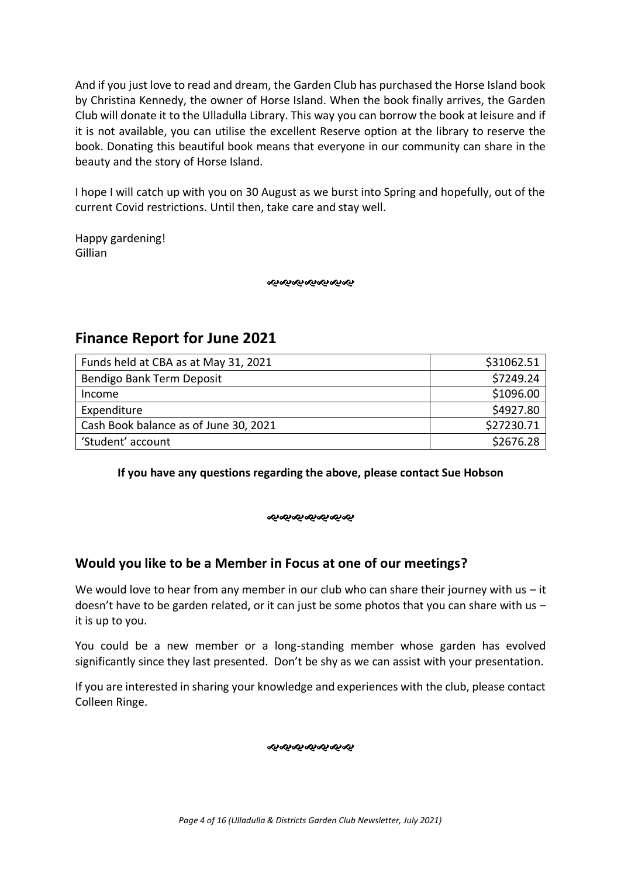And if you just love to read and dream, the Garden Club has purchased the Horse Island book by Christina Kennedy, the owner of Horse Island. When the book finally arrives, the Garden Club will donate it to the Ulladulla Library. This way you can borrow the book at leisure and if it is not available, you can utilise the excellent Reserve option at the library to reserve the book. Donating this beautiful book means that everyone in our community can share in the beauty and the story of Horse Island.

I hope I will catch up with you on 30 August as we burst into Spring and hopefully, out of the current Covid restrictions. Until then, take care and stay well.

Happy gardening! Gillian

જાજાજાજાજાજાજા

### **Finance Report for June 2021**

| Funds held at CBA as at May 31, 2021  | \$31062.51 |
|---------------------------------------|------------|
| Bendigo Bank Term Deposit             | \$7249.24  |
| Income                                | \$1096.00  |
| Expenditure                           | \$4927.80  |
| Cash Book balance as of June 30, 2021 | \$27230.71 |
| 'Student' account                     | \$2676.28  |

**If you have any questions regarding the above, please contact Sue Hobson**

ન્ઠ ન્હરન્ડ ન્હરન્ડ ન્હરન્ડ

### **Would you like to be a Member in Focus at one of our meetings?**

We would love to hear from any member in our club who can share their journey with us  $-$  it doesn't have to be garden related, or it can just be some photos that you can share with us  $$ it is up to you.

You could be a new member or a long-standing member whose garden has evolved significantly since they last presented. Don't be shy as we can assist with your presentation.

If you are interested in sharing your knowledge and experiences with the club, please contact Colleen Ringe.

જાજાજાજાજાજાજા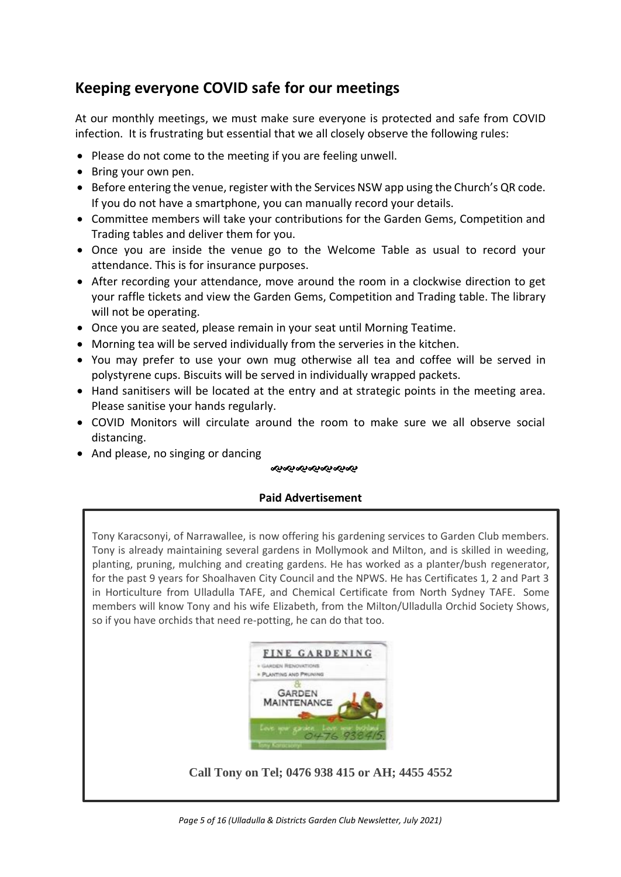### **Keeping everyone COVID safe for our meetings**

At our monthly meetings, we must make sure everyone is protected and safe from COVID infection. It is frustrating but essential that we all closely observe the following rules:

- Please do not come to the meeting if you are feeling unwell.
- Bring your own pen.
- Before entering the venue, register with the Services NSW app using the Church's QR code. If you do not have a smartphone, you can manually record your details.
- Committee members will take your contributions for the Garden Gems, Competition and Trading tables and deliver them for you.
- Once you are inside the venue go to the Welcome Table as usual to record your attendance. This is for insurance purposes.
- After recording your attendance, move around the room in a clockwise direction to get your raffle tickets and view the Garden Gems, Competition and Trading table. The library will not be operating.
- Once you are seated, please remain in your seat until Morning Teatime.
- Morning tea will be served individually from the serveries in the kitchen.
- You may prefer to use your own mug otherwise all tea and coffee will be served in polystyrene cups. Biscuits will be served in individually wrapped packets.
- Hand sanitisers will be located at the entry and at strategic points in the meeting area. Please sanitise your hands regularly.
- COVID Monitors will circulate around the room to make sure we all observe social distancing.
- And please, no singing or dancing

#### ೲೲೲೲೲೲೲ

### **Paid Advertisement**

Tony Karacsonyi, of Narrawallee, is now offering his gardening services to Garden Club members. Tony is already maintaining several gardens in Mollymook and Milton, and is skilled in weeding, planting, pruning, mulching and creating gardens. He has worked as a planter/bush regenerator, for the past 9 years for Shoalhaven City Council and the NPWS. He has Certificates 1, 2 and Part 3 in Horticulture from Ulladulla TAFE, and Chemical Certificate from North Sydney TAFE. Some members will know Tony and his wife Elizabeth, from the Milton/Ulladulla Orchid Society Shows, so if you have orchids that need re-potting, he can do that too.



### **Call Tony on Tel; 0476 938 415 or AH; 4455 4552**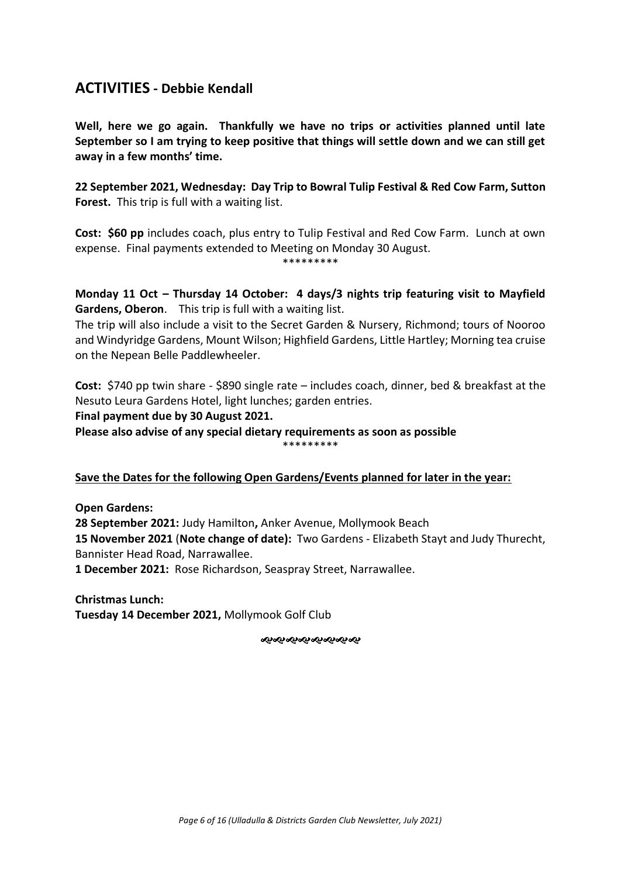### **ACTIVITIES - Debbie Kendall**

**Well, here we go again. Thankfully we have no trips or activities planned until late September so I am trying to keep positive that things will settle down and we can still get away in a few months' time.** 

**22 September 2021, Wednesday: Day Trip to Bowral Tulip Festival & Red Cow Farm, Sutton Forest.** This trip is full with a waiting list.

**Cost: \$60 pp** includes coach, plus entry to Tulip Festival and Red Cow Farm. Lunch at own expense. Final payments extended to Meeting on Monday 30 August. \*\*\*\*\*\*\*\*\*

**Monday 11 Oct – Thursday 14 October: 4 days/3 nights trip featuring visit to Mayfield Gardens, Oberon**. This trip is full with a waiting list.

The trip will also include a visit to the Secret Garden & Nursery, Richmond; tours of Nooroo and Windyridge Gardens, Mount Wilson; Highfield Gardens, Little Hartley; Morning tea cruise on the Nepean Belle Paddlewheeler.

**Cost:** \$740 pp twin share - \$890 single rate – includes coach, dinner, bed & breakfast at the Nesuto Leura Gardens Hotel, light lunches; garden entries.

**Final payment due by 30 August 2021.** 

**Please also advise of any special dietary requirements as soon as possible** \*\*\*\*\*\*\*\*\*

**Save the Dates for the following Open Gardens/Events planned for later in the year:** 

**Open Gardens: 28 September 2021:** Judy Hamilton**,** Anker Avenue, Mollymook Beach **15 November 2021** (**Note change of date):** Two Gardens - Elizabeth Stayt and Judy Thurecht, Bannister Head Road, Narrawallee.

**1 December 2021:** Rose Richardson, Seaspray Street, Narrawallee.

**Christmas Lunch: Tuesday 14 December 2021,** Mollymook Golf Club

જાજાજાજાજાજાજાજા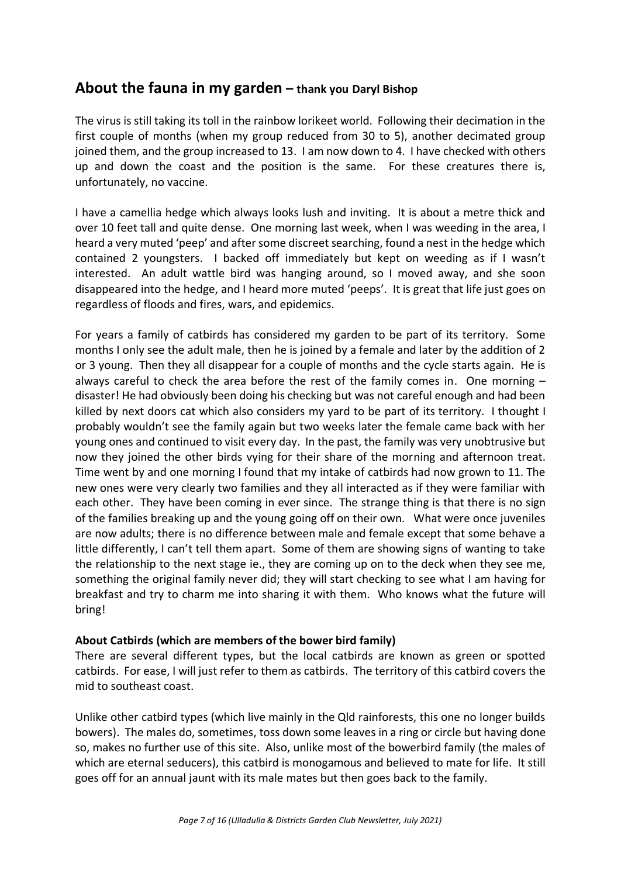### **About the fauna in my garden – thank you Daryl Bishop**

The virus is still taking its toll in the rainbow lorikeet world. Following their decimation in the first couple of months (when my group reduced from 30 to 5), another decimated group joined them, and the group increased to 13. I am now down to 4. I have checked with others up and down the coast and the position is the same. For these creatures there is, unfortunately, no vaccine.

I have a camellia hedge which always looks lush and inviting. It is about a metre thick and over 10 feet tall and quite dense. One morning last week, when I was weeding in the area, I heard a very muted 'peep' and after some discreet searching, found a nest in the hedge which contained 2 youngsters. I backed off immediately but kept on weeding as if I wasn't interested. An adult wattle bird was hanging around, so I moved away, and she soon disappeared into the hedge, and I heard more muted 'peeps'. It is great that life just goes on regardless of floods and fires, wars, and epidemics.

For years a family of catbirds has considered my garden to be part of its territory. Some months I only see the adult male, then he is joined by a female and later by the addition of 2 or 3 young. Then they all disappear for a couple of months and the cycle starts again. He is always careful to check the area before the rest of the family comes in. One morning – disaster! He had obviously been doing his checking but was not careful enough and had been killed by next doors cat which also considers my yard to be part of its territory. I thought I probably wouldn't see the family again but two weeks later the female came back with her young ones and continued to visit every day. In the past, the family was very unobtrusive but now they joined the other birds vying for their share of the morning and afternoon treat. Time went by and one morning I found that my intake of catbirds had now grown to 11. The new ones were very clearly two families and they all interacted as if they were familiar with each other. They have been coming in ever since. The strange thing is that there is no sign of the families breaking up and the young going off on their own. What were once juveniles are now adults; there is no difference between male and female except that some behave a little differently, I can't tell them apart. Some of them are showing signs of wanting to take the relationship to the next stage ie., they are coming up on to the deck when they see me, something the original family never did; they will start checking to see what I am having for breakfast and try to charm me into sharing it with them. Who knows what the future will bring!

### **About Catbirds (which are members of the bower bird family)**

There are several different types, but the local catbirds are known as green or spotted catbirds. For ease, I will just refer to them as catbirds. The territory of this catbird covers the mid to southeast coast.

Unlike other catbird types (which live mainly in the Qld rainforests, this one no longer builds bowers). The males do, sometimes, toss down some leaves in a ring or circle but having done so, makes no further use of this site. Also, unlike most of the bowerbird family (the males of which are eternal seducers), this catbird is monogamous and believed to mate for life. It still goes off for an annual jaunt with its male mates but then goes back to the family.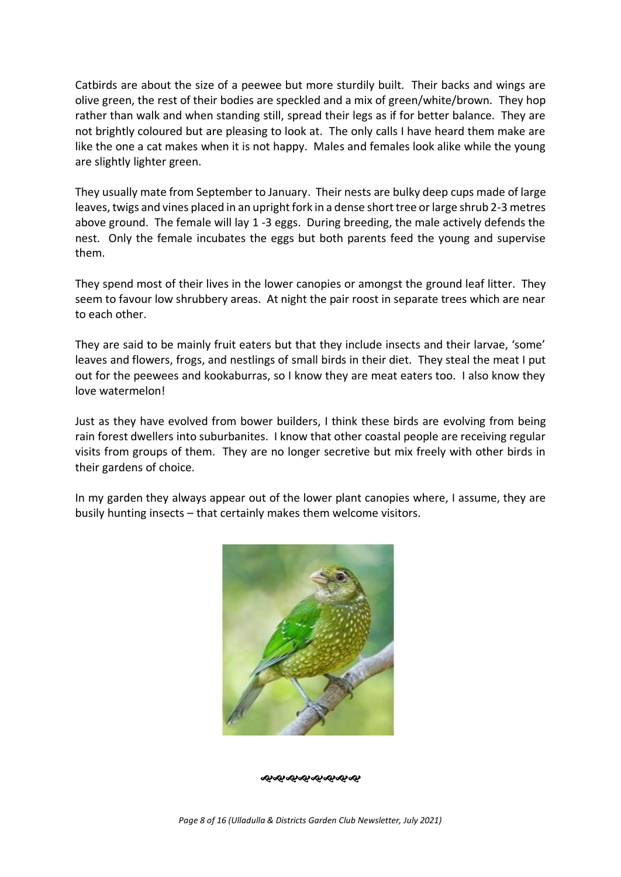Catbirds are about the size of a peewee but more sturdily built. Their backs and wings are olive green, the rest of their bodies are speckled and a mix of green/white/brown. They hop rather than walk and when standing still, spread their legs as if for better balance. They are not brightly coloured but are pleasing to look at. The only calls I have heard them make are like the one a cat makes when it is not happy. Males and females look alike while the young are slightly lighter green.

They usually mate from September to January. Their nests are bulky deep cups made of large leaves, twigs and vines placed in an upright fork in a dense short tree or large shrub 2-3 metres above ground. The female will lay 1 -3 eggs. During breeding, the male actively defends the nest. Only the female incubates the eggs but both parents feed the young and supervise them.

They spend most of their lives in the lower canopies or amongst the ground leaf litter. They seem to favour low shrubbery areas. At night the pair roost in separate trees which are near to each other.

They are said to be mainly fruit eaters but that they include insects and their larvae, 'some' leaves and flowers, frogs, and nestlings of small birds in their diet. They steal the meat I put out for the peewees and kookaburras, so I know they are meat eaters too. I also know they love watermelon!

Just as they have evolved from bower builders, I think these birds are evolving from being rain forest dwellers into suburbanites. I know that other coastal people are receiving regular visits from groups of them. They are no longer secretive but mix freely with other birds in their gardens of choice.

In my garden they always appear out of the lower plant canopies where, I assume, they are busily hunting insects – that certainly makes them welcome visitors.



ન્સન્સન્સન્સન્સન્સન્સન્સ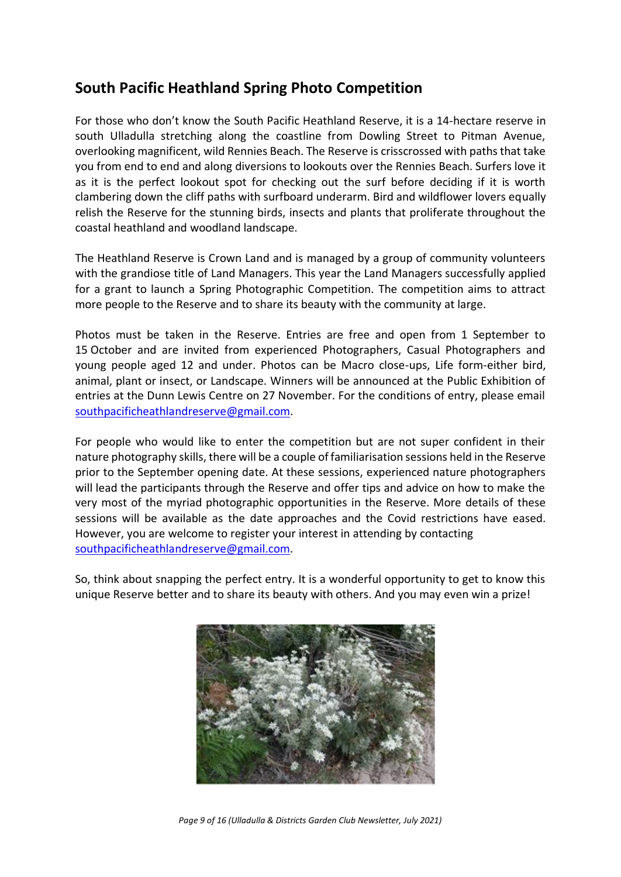### **South Pacific Heathland Spring Photo Competition**

For those who don't know the South Pacific Heathland Reserve, it is a 14-hectare reserve in south Ulladulla stretching along the coastline from Dowling Street to Pitman Avenue, overlooking magnificent, wild Rennies Beach. The Reserve is crisscrossed with paths that take you from end to end and along diversions to lookouts over the Rennies Beach. Surfers love it as it is the perfect lookout spot for checking out the surf before deciding if it is worth clambering down the cliff paths with surfboard underarm. Bird and wildflower lovers equally relish the Reserve for the stunning birds, insects and plants that proliferate throughout the coastal heathland and woodland landscape.

The Heathland Reserve is Crown Land and is managed by a group of community volunteers with the grandiose title of Land Managers. This year the Land Managers successfully applied for a grant to launch a Spring Photographic Competition. The competition aims to attract more people to the Reserve and to share its beauty with the community at large.

Photos must be taken in the Reserve. Entries are free and open from 1 September to 15 October and are invited from experienced Photographers, Casual Photographers and young people aged 12 and under. Photos can be Macro close-ups, Life form-either bird, animal, plant or insect, or Landscape. Winners will be announced at the Public Exhibition of entries at the Dunn Lewis Centre on 27 November. For the conditions of entry, please email [southpacificheathlandreserve@gmail.com.](mailto:southpacificheathlandreserve@gmail.com)

For people who would like to enter the competition but are not super confident in their nature photography skills, there will be a couple of familiarisation sessions held in the Reserve prior to the September opening date. At these sessions, experienced nature photographers will lead the participants through the Reserve and offer tips and advice on how to make the very most of the myriad photographic opportunities in the Reserve. More details of these sessions will be available as the date approaches and the Covid restrictions have eased. However, you are welcome to register your interest in attending by contacting [southpacificheathlandreserve@gmail.com.](mailto:southpacificheathlandreserve@gmail.com)

So, think about snapping the perfect entry. It is a wonderful opportunity to get to know this unique Reserve better and to share its beauty with others. And you may even win a prize!



*Page 9 of 16 (Ulladulla & Districts Garden Club Newsletter, July 2021)*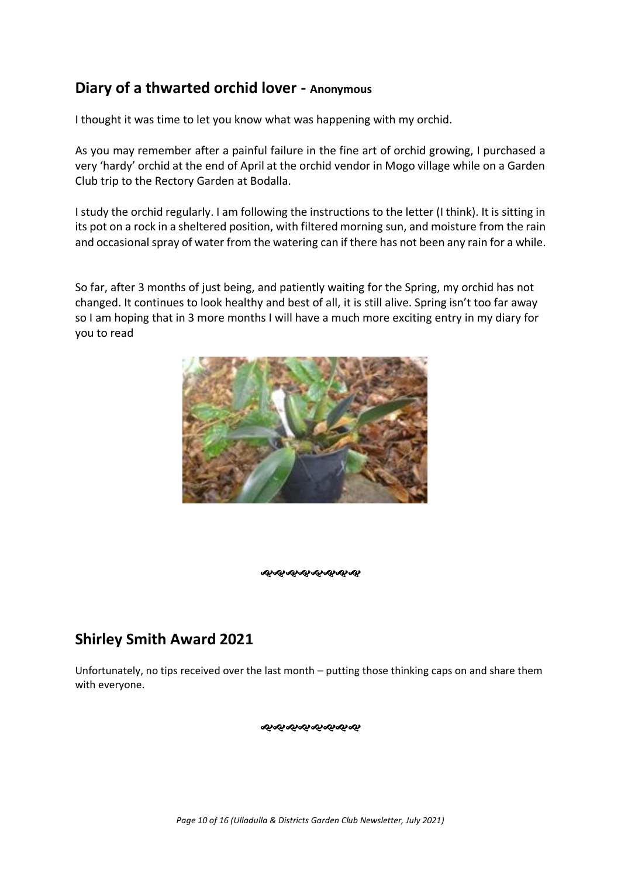### **Diary of a thwarted orchid lover - Anonymous**

I thought it was time to let you know what was happening with my orchid.

As you may remember after a painful failure in the fine art of orchid growing, I purchased a very 'hardy' orchid at the end of April at the orchid vendor in Mogo village while on a Garden Club trip to the Rectory Garden at Bodalla.

I study the orchid regularly. I am following the instructions to the letter (I think). It is sitting in its pot on a rock in a sheltered position, with filtered morning sun, and moisture from the rain and occasional spray of water from the watering can if there has not been any rain for a while.

So far, after 3 months of just being, and patiently waiting for the Spring, my orchid has not changed. It continues to look healthy and best of all, it is still alive. Spring isn't too far away so I am hoping that in 3 more months I will have a much more exciting entry in my diary for you to read



ક્ર**ન્ડન્ડન્ડન્ડન્ડન્ડન્ડ** 

### **Shirley Smith Award 2021**

Unfortunately, no tips received over the last month – putting those thinking caps on and share them with everyone.

જાજાજાજાજાજાજાજા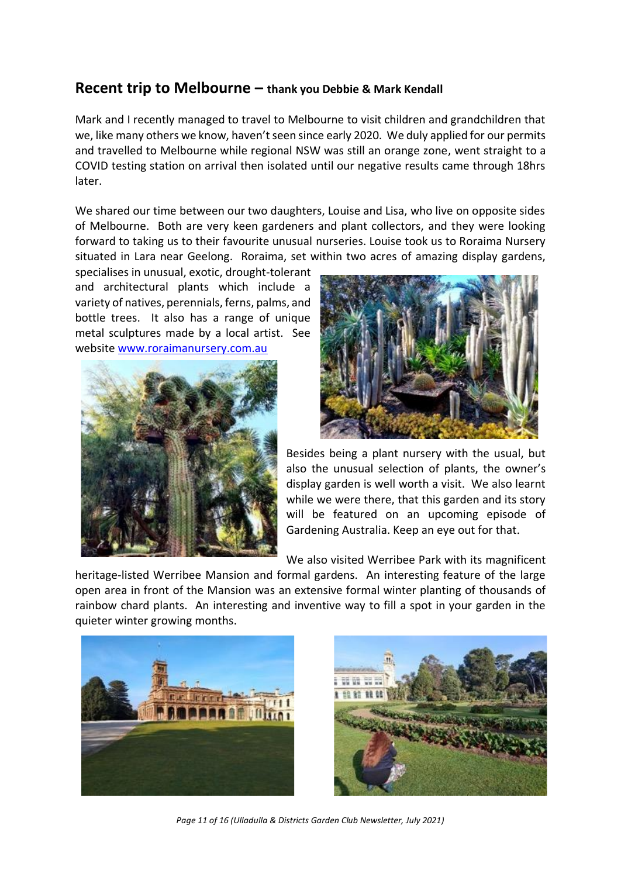### **Recent trip to Melbourne – thank you Debbie & Mark Kendall**

Mark and I recently managed to travel to Melbourne to visit children and grandchildren that we, like many others we know, haven't seen since early 2020. We duly applied for our permits and travelled to Melbourne while regional NSW was still an orange zone, went straight to a COVID testing station on arrival then isolated until our negative results came through 18hrs later.

We shared our time between our two daughters, Louise and Lisa, who live on opposite sides of Melbourne. Both are very keen gardeners and plant collectors, and they were looking forward to taking us to their favourite unusual nurseries. Louise took us to Roraima Nursery situated in Lara near Geelong. Roraima, set within two acres of amazing display gardens,

specialises in unusual, exotic, drought-tolerant and architectural plants which include a variety of natives, perennials, ferns, palms, and bottle trees. It also has a range of unique metal sculptures made by a local artist. See website [www.roraimanursery.com.au](http://www.roraimanursery.com.au/)





Besides being a plant nursery with the usual, but also the unusual selection of plants, the owner's display garden is well worth a visit. We also learnt while we were there, that this garden and its story will be featured on an upcoming episode of Gardening Australia. Keep an eye out for that.

We also visited Werribee Park with its magnificent

heritage-listed Werribee Mansion and formal gardens. An interesting feature of the large open area in front of the Mansion was an extensive formal winter planting of thousands of rainbow chard plants. An interesting and inventive way to fill a spot in your garden in the quieter winter growing months.





*Page 11 of 16 (Ulladulla & Districts Garden Club Newsletter, July 2021)*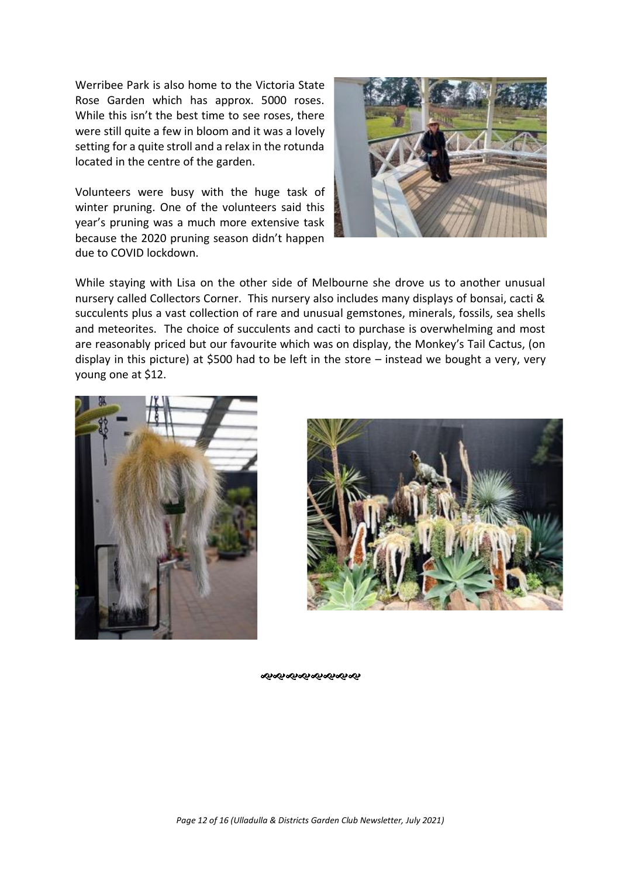Werribee Park is also home to the Victoria State Rose Garden which has approx. 5000 roses. While this isn't the best time to see roses, there were still quite a few in bloom and it was a lovely setting for a quite stroll and a relax in the rotunda located in the centre of the garden.

Volunteers were busy with the huge task of winter pruning. One of the volunteers said this year's pruning was a much more extensive task because the 2020 pruning season didn't happen due to COVID lockdown.



While staying with Lisa on the other side of Melbourne she drove us to another unusual nursery called Collectors Corner. This nursery also includes many displays of bonsai, cacti & succulents plus a vast collection of rare and unusual gemstones, minerals, fossils, sea shells and meteorites. The choice of succulents and cacti to purchase is overwhelming and most are reasonably priced but our favourite which was on display, the Monkey's Tail Cactus, (on display in this picture) at \$500 had to be left in the store – instead we bought a very, very young one at \$12.





જાગ્લાન્લાન્લાન્લાન્લાન્લા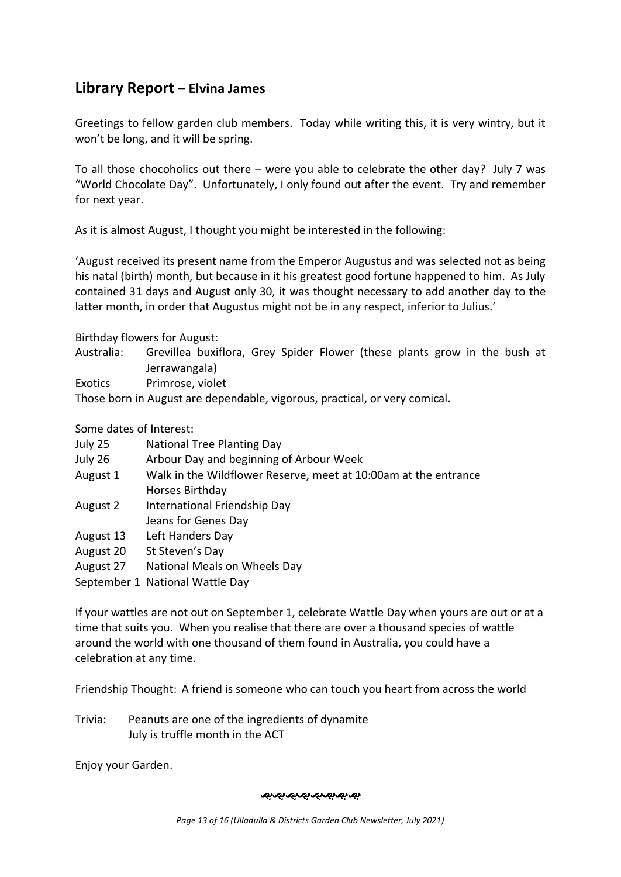### **Library Report – Elvina James**

Greetings to fellow garden club members. Today while writing this, it is very wintry, but it won't be long, and it will be spring.

To all those chocoholics out there – were you able to celebrate the other day? July 7 was "World Chocolate Day". Unfortunately, I only found out after the event. Try and remember for next year.

As it is almost August, I thought you might be interested in the following:

'August received its present name from the Emperor Augustus and was selected not as being his natal (birth) month, but because in it his greatest good fortune happened to him. As July contained 31 days and August only 30, it was thought necessary to add another day to the latter month, in order that Augustus might not be in any respect, inferior to Julius.'

Birthday flowers for August:

- Australia: Grevillea buxiflora, Grey Spider Flower (these plants grow in the bush at Jerrawangala)
- Exotics Primrose, violet

Those born in August are dependable, vigorous, practical, or very comical.

Some dates of Interest:

| July 25   | <b>National Tree Planting Day</b>                               |
|-----------|-----------------------------------------------------------------|
| July 26   | Arbour Day and beginning of Arbour Week                         |
| August 1  | Walk in the Wildflower Reserve, meet at 10:00am at the entrance |
|           | Horses Birthday                                                 |
| August 2  | International Friendship Day                                    |
|           | Jeans for Genes Day                                             |
| August 13 | Left Handers Day                                                |
| August 20 | St Steven's Day                                                 |
| August 27 | National Meals on Wheels Day                                    |
|           | September 1 National Wattle Day                                 |

If your wattles are not out on September 1, celebrate Wattle Day when yours are out or at a time that suits you. When you realise that there are over a thousand species of wattle around the world with one thousand of them found in Australia, you could have a

celebration at any time.

Friendship Thought: A friend is someone who can touch you heart from across the world

Trivia: Peanuts are one of the ingredients of dynamite July is truffle month in the ACT

Enjoy your Garden.

ઌ૰ઌ૰ઌ૰ઌ૰ઌ૰ઌ૰ઌ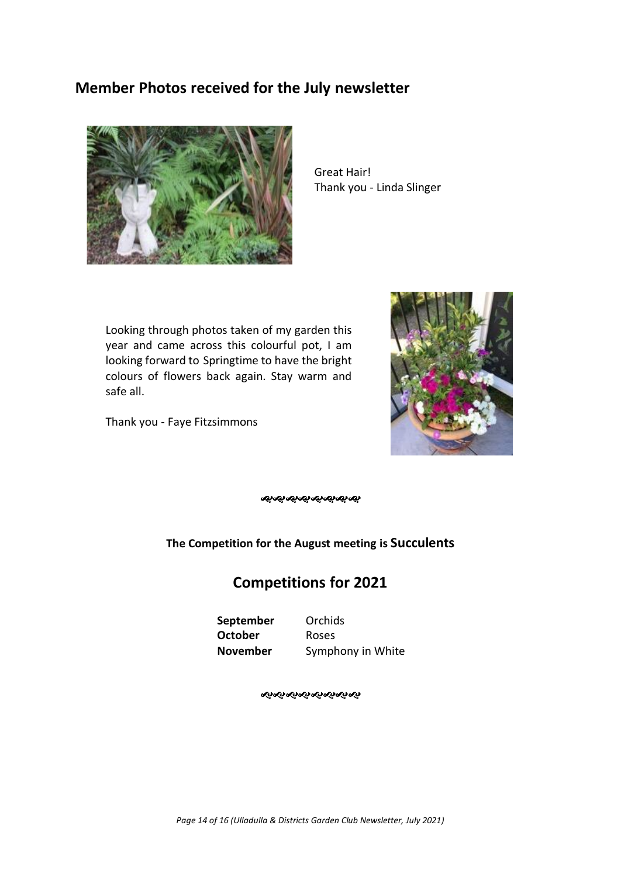### **Member Photos received for the July newsletter**



Great Hair! Thank you - Linda Slinger

Looking through photos taken of my garden this year and came across this colourful pot, I am looking forward to Springtime to have the bright colours of flowers back again. Stay warm and safe all.

Thank you - Faye Fitzsimmons



જાજાજાજાજાજાજાજા

**The Competition for the August meeting is Succulents**

### **Competitions for 2021**

**September** Orchids **October** Roses

**November** Symphony in White

ન્કન્કન્કન્કન્કન્કન્કન્ક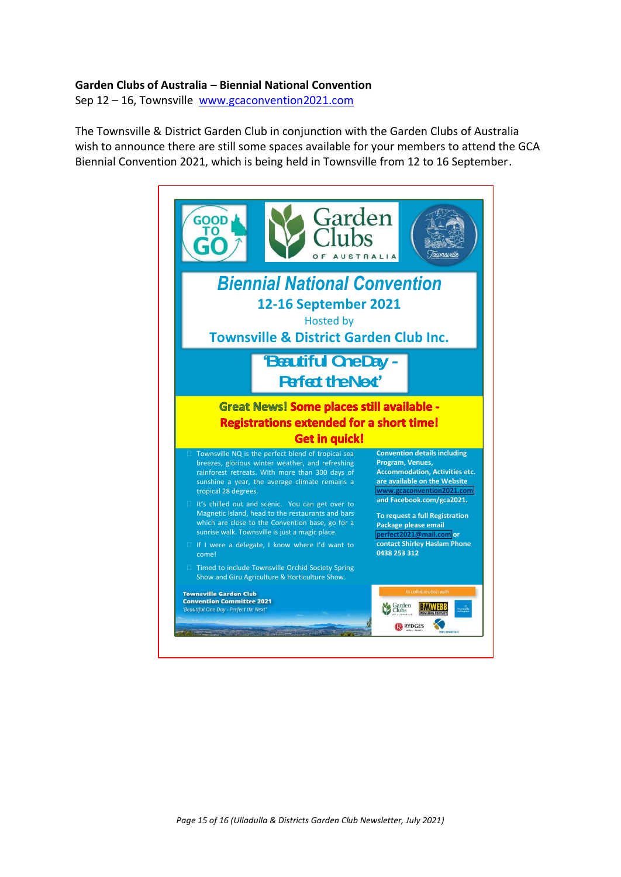#### **Garden Clubs of Australia – Biennial National Convention**

Sep 12 – 16, Townsville [www.gcaconvention2021.com](http://www.gcaconvention2021.com/)

The Townsville & District Garden Club in conjunction with the Garden Clubs of Australia wish to announce there are still some spaces available for your members to attend the GCA Biennial Convention 2021, which is being held in Townsville from 12 to 16 September.